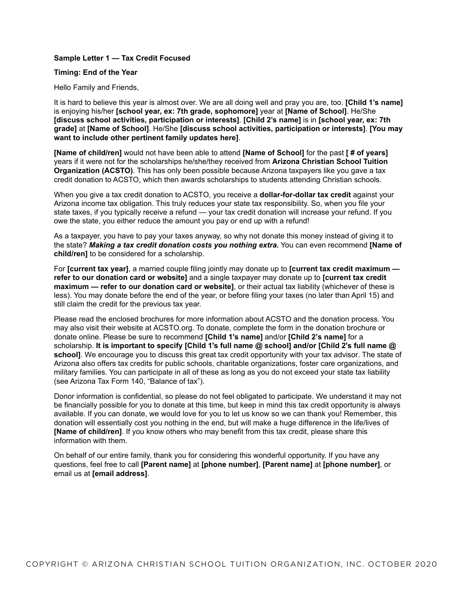## **Sample Letter 1 — Tax Credit Focused**

#### **Timing: End of the Year**

Hello Family and Friends,

It is hard to believe this year is almost over. We are all doing well and pray you are, too. **[Child 1's name]** is enjoying his/her **[school year, ex: 7th grade, sophomore]** year at **[Name of School]**. He/She **[discuss school activities, participation or interests]**. **[Child 2's name]** is in **[school year, ex: 7th grade]** at **[Name of School]**. He/She **[discuss school activities, participation or interests]**. **[You may want to include other pertinent family updates here]**.

**[Name of child/ren]** would not have been able to attend **[Name of School]** for the past **[ # of years]** years if it were not for the scholarships he/she/they received from **Arizona Christian School Tuition Organization (ACSTO)**. This has only been possible because Arizona taxpayers like you gave a tax credit donation to ACSTO, which then awards scholarships to students attending Christian schools.

When you give a tax credit donation to ACSTO, you receive a **dollar-for-dollar tax credit** against your Arizona income tax obligation. This truly reduces your state tax responsibility. So, when you file your state taxes, if you typically receive a refund — your tax credit donation will increase your refund. If you owe the state, you either reduce the amount you pay or end up with a refund!

As a taxpayer, you have to pay your taxes anyway, so why not donate this money instead of giving it to the state? *Making a tax credit donation costs you nothing extra.* You can even recommend **[Name of child/ren]** to be considered for a scholarship.

For **[current tax year]**, a married couple filing jointly may donate up to **[current tax credit maximum refer to our donation card or website]** and a single taxpayer may donate up to **[current tax credit maximum — refer to our donation card or website]**, or their actual tax liability (whichever of these is less). You may donate before the end of the year, or before filing your taxes (no later than April 15) and still claim the credit for the previous tax year.

Please read the enclosed brochures for more information about ACSTO and the donation process. You may also visit their website at ACSTO.org. To donate, complete the form in the donation brochure or donate online. Please be sure to recommend **[Child 1's name]** and/or **[Child 2's name]** for a scholarship. **It is important to specify [Child 1's full name @ school] and/or [Child 2's full name @**  school]. We encourage you to discuss this great tax credit opportunity with your tax advisor. The state of Arizona also offers tax credits for public schools, charitable organizations, foster care organizations, and military families. You can participate in all of these as long as you do not exceed your state tax liability (see Arizona Tax Form 140, "Balance of tax").

Donor information is confidential, so please do not feel obligated to participate. We understand it may not be financially possible for you to donate at this time, but keep in mind this tax credit opportunity is always available. If you can donate, we would love for you to let us know so we can thank you! Remember, this donation will essentially cost you nothing in the end, but will make a huge difference in the life/lives of **[Name of child/ren]**. If you know others who may benefit from this tax credit, please share this information with them.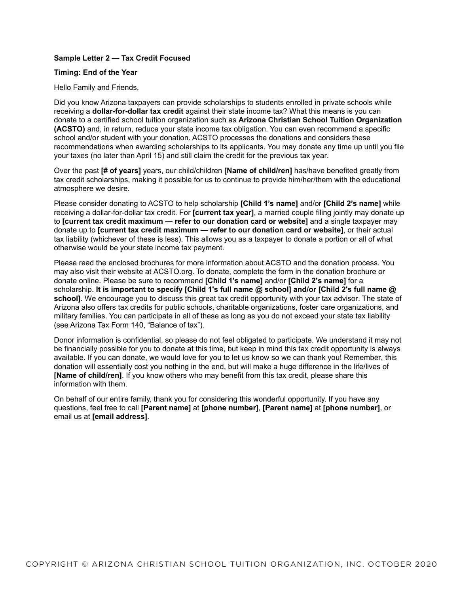## **Sample Letter 2 — Tax Credit Focused**

#### **Timing: End of the Year**

Hello Family and Friends,

Did you know Arizona taxpayers can provide scholarships to students enrolled in private schools while receiving a **dollar-for-dollar tax credit** against their state income tax? What this means is you can donate to a certified school tuition organization such as **Arizona Christian School Tuition Organization (ACSTO)** and, in return, reduce your state income tax obligation. You can even recommend a specific school and/or student with your donation. ACSTO processes the donations and considers these recommendations when awarding scholarships to its applicants. You may donate any time up until you file your taxes (no later than April 15) and still claim the credit for the previous tax year.

Over the past **[# of years]** years, our child/children **[Name of child/ren]** has/have benefited greatly from tax credit scholarships, making it possible for us to continue to provide him/her/them with the educational atmosphere we desire.

Please consider donating to ACSTO to help scholarship **[Child 1's name]** and/or **[Child 2's name]** while receiving a dollar-for-dollar tax credit. For **[current tax year]**, a married couple filing jointly may donate up to **[current tax credit maximum — refer to our donation card or website]** and a single taxpayer may donate up to **[current tax credit maximum — refer to our donation card or website]**, or their actual tax liability (whichever of these is less). This allows you as a taxpayer to donate a portion or all of what otherwise would be your state income tax payment.

Please read the enclosed brochures for more information about ACSTO and the donation process. You may also visit their website at ACSTO.org. To donate, complete the form in the donation brochure or donate online. Please be sure to recommend **[Child 1's name]** and/or **[Child 2's name]** for a scholarship. **It is important to specify [Child 1's full name @ school] and/or [Child 2's full name @**  school]. We encourage you to discuss this great tax credit opportunity with your tax advisor. The state of Arizona also offers tax credits for public schools, charitable organizations, foster care organizations, and military families. You can participate in all of these as long as you do not exceed your state tax liability (see Arizona Tax Form 140, "Balance of tax").

Donor information is confidential, so please do not feel obligated to participate. We understand it may not be financially possible for you to donate at this time, but keep in mind this tax credit opportunity is always available. If you can donate, we would love for you to let us know so we can thank you! Remember, this donation will essentially cost you nothing in the end, but will make a huge difference in the life/lives of **[Name of child/ren]**. If you know others who may benefit from this tax credit, please share this information with them.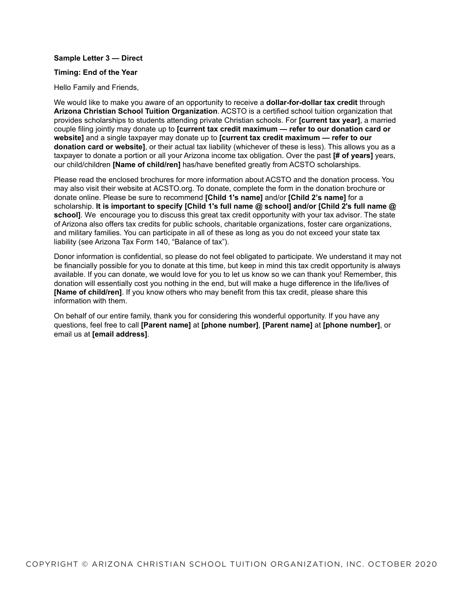### **Sample Letter 3 — Direct**

#### **Timing: End of the Year**

Hello Family and Friends,

We would like to make you aware of an opportunity to receive a **dollar-for-dollar tax credit** through **Arizona Christian School Tuition Organization**. ACSTO is a certified school tuition organization that provides scholarships to students attending private Christian schools. For **[current tax year]**, a married couple filing jointly may donate up to **[current tax credit maximum — refer to our donation card or website]** and a single taxpayer may donate up to **[current tax credit maximum — refer to our donation card or website]**, or their actual tax liability (whichever of these is less). This allows you as a taxpayer to donate a portion or all your Arizona income tax obligation. Over the past **[# of years]** years, our child/children **[Name of child/ren]** has/have benefited greatly from ACSTO scholarships.

Please read the enclosed brochures for more information about ACSTO and the donation process. You may also visit their website at ACSTO.org. To donate, complete the form in the donation brochure or donate online. Please be sure to recommend **[Child 1's name]** and/or **[Child 2's name]** for a scholarship. **It is important to specify [Child 1's full name @ school] and/or [Child 2's full name @**  school]. We encourage you to discuss this great tax credit opportunity with your tax advisor. The state of Arizona also offers tax credits for public schools, charitable organizations, foster care organizations, and military families. You can participate in all of these as long as you do not exceed your state tax liability (see Arizona Tax Form 140, "Balance of tax").

Donor information is confidential, so please do not feel obligated to participate. We understand it may not be financially possible for you to donate at this time, but keep in mind this tax credit opportunity is always available. If you can donate, we would love for you to let us know so we can thank you! Remember, this donation will essentially cost you nothing in the end, but will make a huge difference in the life/lives of **[Name of child/ren]**. If you know others who may benefit from this tax credit, please share this information with them.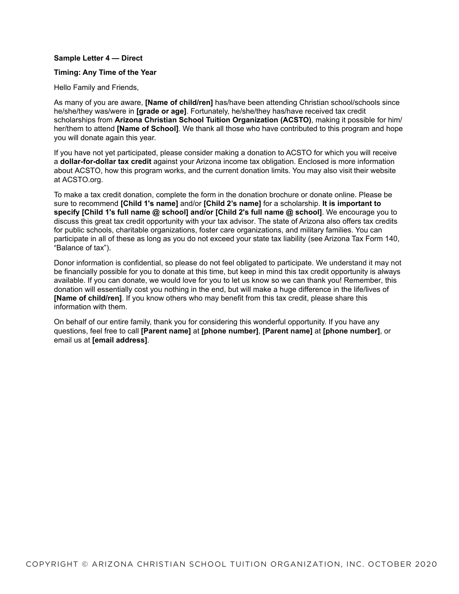### **Sample Letter 4 — Direct**

#### **Timing: Any Time of the Year**

Hello Family and Friends,

As many of you are aware, **[Name of child/ren]** has/have been attending Christian school/schools since he/she/they was/were in **[grade or age]**. Fortunately, he/she/they has/have received tax credit scholarships from **Arizona Christian School Tuition Organization (ACSTO)**, making it possible for him/ her/them to attend **[Name of School]**. We thank all those who have contributed to this program and hope you will donate again this year.

If you have not yet participated, please consider making a donation to ACSTO for which you will receive a **dollar-for-dollar tax credit** against your Arizona income tax obligation. Enclosed is more information about ACSTO, how this program works, and the current donation limits. You may also visit their website at ACSTO.org.

To make a tax credit donation, complete the form in the donation brochure or donate online. Please be sure to recommend **[Child 1's name]** and/or **[Child 2's name]** for a scholarship. **It is important to specify [Child 1's full name @ school] and/or [Child 2's full name @ school]**. We encourage you to discuss this great tax credit opportunity with your tax advisor. The state of Arizona also offers tax credits for public schools, charitable organizations, foster care organizations, and military families. You can participate in all of these as long as you do not exceed your state tax liability (see Arizona Tax Form 140, "Balance of tax").

Donor information is confidential, so please do not feel obligated to participate. We understand it may not be financially possible for you to donate at this time, but keep in mind this tax credit opportunity is always available. If you can donate, we would love for you to let us know so we can thank you! Remember, this donation will essentially cost you nothing in the end, but will make a huge difference in the life/lives of **[Name of child/ren]**. If you know others who may benefit from this tax credit, please share this information with them.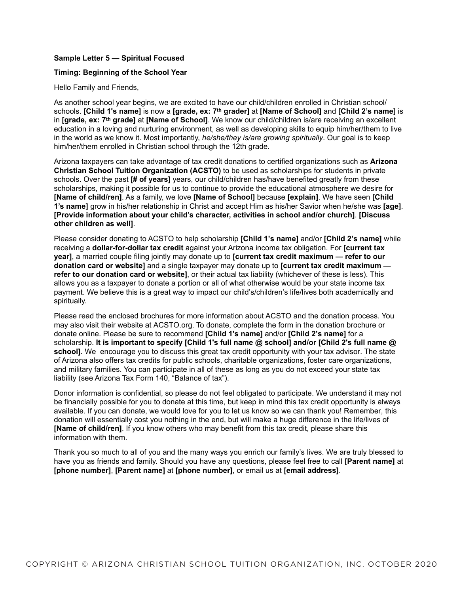# **Sample Letter 5 — Spiritual Focused**

# **Timing: Beginning of the School Year**

Hello Family and Friends,

As another school year begins, we are excited to have our child/children enrolled in Christian school/ schools. **[Child 1's name]** is now a **[grade, ex: 7th grader]** at **[Name of School]** and **[Child 2's name]** is in **[grade, ex: 7th grade]** at **[Name of School]**. We know our child/children is/are receiving an excellent education in a loving and nurturing environment, as well as developing skills to equip him/her/them to live in the world as we know it. Most importantly, *he/she/they is/are growing spiritually*. Our goal is to keep him/her/them enrolled in Christian school through the 12th grade.

Arizona taxpayers can take advantage of tax credit donations to certified organizations such as **Arizona Christian School Tuition Organization (ACSTO)** to be used as scholarships for students in private schools. Over the past **[# of years]** years, our child/children has/have benefited greatly from these scholarships, making it possible for us to continue to provide the educational atmosphere we desire for **[Name of child/ren]**. As a family, we love **[Name of School]** because **[explain]**. We have seen **[Child 1's name]** grow in his/her relationship in Christ and accept Him as his/her Savior when he/she was **[age]**. **[Provide information about your child's character, activities in school and/or church]**. **[Discuss other children as well]**.

Please consider donating to ACSTO to help scholarship **[Child 1's name]** and/or **[Child 2's name]** while receiving a **dollar-for-dollar tax credit** against your Arizona income tax obligation. For **[current tax year]**, a married couple filing jointly may donate up to **[current tax credit maximum — refer to our donation card or website]** and a single taxpayer may donate up to **[current tax credit maximum refer to our donation card or website]**, or their actual tax liability (whichever of these is less). This allows you as a taxpayer to donate a portion or all of what otherwise would be your state income tax payment. We believe this is a great way to impact our child's/children's life/lives both academically and spiritually.

Please read the enclosed brochures for more information about ACSTO and the donation process. You may also visit their website at ACSTO.org. To donate, complete the form in the donation brochure or donate online. Please be sure to recommend **[Child 1's name]** and/or **[Child 2's name]** for a scholarship. **It is important to specify [Child 1's full name @ school] and/or [Child 2's full name @ school]**. We encourage you to discuss this great tax credit opportunity with your tax advisor. The state of Arizona also offers tax credits for public schools, charitable organizations, foster care organizations, and military families. You can participate in all of these as long as you do not exceed your state tax liability (see Arizona Tax Form 140, "Balance of tax").

Donor information is confidential, so please do not feel obligated to participate. We understand it may not be financially possible for you to donate at this time, but keep in mind this tax credit opportunity is always available. If you can donate, we would love for you to let us know so we can thank you! Remember, this donation will essentially cost you nothing in the end, but will make a huge difference in the life/lives of **[Name of child/ren]**. If you know others who may benefit from this tax credit, please share this information with them.

Thank you so much to all of you and the many ways you enrich our family's lives. We are truly blessed to have you as friends and family. Should you have any questions, please feel free to call **[Parent name]** at **[phone number]**, **[Parent name]** at **[phone number]**, or email us at **[email address]**.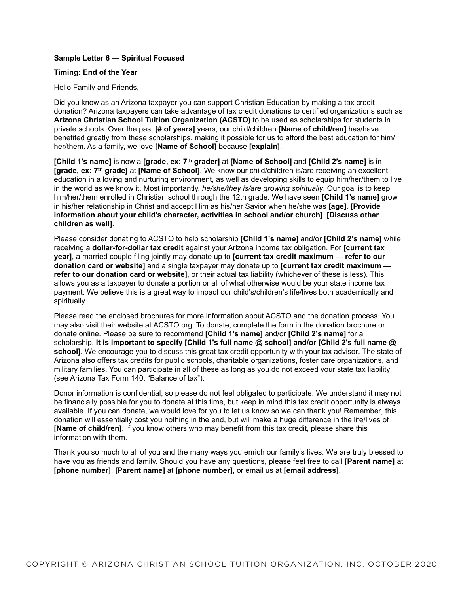## **Sample Letter 6 — Spiritual Focused**

#### **Timing: End of the Year**

Hello Family and Friends,

Did you know as an Arizona taxpayer you can support Christian Education by making a tax credit donation? Arizona taxpayers can take advantage of tax credit donations to certified organizations such as **Arizona Christian School Tuition Organization (ACSTO)** to be used as scholarships for students in private schools. Over the past **[# of years]** years, our child/children **[Name of child/ren]** has/have benefited greatly from these scholarships, making it possible for us to afford the best education for him/ her/them. As a family, we love **[Name of School]** because **[explain]**.

**[Child 1's name]** is now a **[grade, ex: 7th grader]** at **[Name of School]** and **[Child 2's name]** is in **[grade, ex: 7th grade]** at **[Name of School]**. We know our child/children is/are receiving an excellent education in a loving and nurturing environment, as well as developing skills to equip him/her/them to live in the world as we know it. Most importantly, *he/she/they is/are growing spiritually*. Our goal is to keep him/her/them enrolled in Christian school through the 12th grade. We have seen **[Child 1's name]** grow in his/her relationship in Christ and accept Him as his/her Savior when he/she was **[age]**. **[Provide information about your child's character, activities in school and/or church]**. **[Discuss other children as well]**.

Please consider donating to ACSTO to help scholarship **[Child 1's name]** and/or **[Child 2's name]** while receiving a **dollar-for-dollar tax credit** against your Arizona income tax obligation. For **[current tax year]**, a married couple filing jointly may donate up to **[current tax credit maximum — refer to our donation card or website]** and a single taxpayer may donate up to **[current tax credit maximum refer to our donation card or website]**, or their actual tax liability (whichever of these is less). This allows you as a taxpayer to donate a portion or all of what otherwise would be your state income tax payment. We believe this is a great way to impact our child's/children's life/lives both academically and spiritually.

Please read the enclosed brochures for more information about ACSTO and the donation process. You may also visit their website at ACSTO.org. To donate, complete the form in the donation brochure or donate online. Please be sure to recommend **[Child 1's name]** and/or **[Child 2's name]** for a scholarship. **It is important to specify [Child 1's full name @ school] and/or [Child 2's full name @ school]**. We encourage you to discuss this great tax credit opportunity with your tax advisor. The state of Arizona also offers tax credits for public schools, charitable organizations, foster care organizations, and military families. You can participate in all of these as long as you do not exceed your state tax liability (see Arizona Tax Form 140, "Balance of tax").

Donor information is confidential, so please do not feel obligated to participate. We understand it may not be financially possible for you to donate at this time, but keep in mind this tax credit opportunity is always available. If you can donate, we would love for you to let us know so we can thank you! Remember, this donation will essentially cost you nothing in the end, but will make a huge difference in the life/lives of **[Name of child/ren]**. If you know others who may benefit from this tax credit, please share this information with them.

Thank you so much to all of you and the many ways you enrich our family's lives. We are truly blessed to have you as friends and family. Should you have any questions, please feel free to call **[Parent name]** at **[phone number]**, **[Parent name]** at **[phone number]**, or email us at **[email address]**.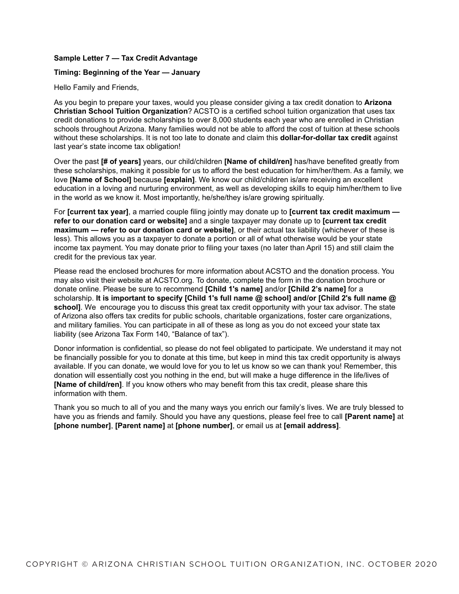# **Sample Letter 7 — Tax Credit Advantage**

# **Timing: Beginning of the Year — January**

Hello Family and Friends,

As you begin to prepare your taxes, would you please consider giving a tax credit donation to **Arizona Christian School Tuition Organization**? ACSTO is a certified school tuition organization that uses tax credit donations to provide scholarships to over 8,000 students each year who are enrolled in Christian schools throughout Arizona. Many families would not be able to afford the cost of tuition at these schools without these scholarships. It is not too late to donate and claim this **dollar-for-dollar tax credit** against last year's state income tax obligation!

Over the past **[# of years]** years, our child/children **[Name of child/ren]** has/have benefited greatly from these scholarships, making it possible for us to afford the best education for him/her/them. As a family, we love **[Name of School]** because **[explain]**. We know our child/children is/are receiving an excellent education in a loving and nurturing environment, as well as developing skills to equip him/her/them to live in the world as we know it. Most importantly, he/she/they is/are growing spiritually.

For **[current tax year]**, a married couple filing jointly may donate up to **[current tax credit maximum refer to our donation card or website]** and a single taxpayer may donate up to **[current tax credit maximum — refer to our donation card or website]**, or their actual tax liability (whichever of these is less). This allows you as a taxpayer to donate a portion or all of what otherwise would be your state income tax payment. You may donate prior to filing your taxes (no later than April 15) and still claim the credit for the previous tax year.

Please read the enclosed brochures for more information about ACSTO and the donation process. You may also visit their website at ACSTO.org. To donate, complete the form in the donation brochure or donate online. Please be sure to recommend **[Child 1's name]** and/or **[Child 2's name]** for a scholarship. **It is important to specify [Child 1's full name @ school] and/or [Child 2's full name @ school]**. We encourage you to discuss this great tax credit opportunity with your tax advisor. The state of Arizona also offers tax credits for public schools, charitable organizations, foster care organizations, and military families. You can participate in all of these as long as you do not exceed your state tax liability (see Arizona Tax Form 140, "Balance of tax").

Donor information is confidential, so please do not feel obligated to participate. We understand it may not be financially possible for you to donate at this time, but keep in mind this tax credit opportunity is always available. If you can donate, we would love for you to let us know so we can thank you! Remember, this donation will essentially cost you nothing in the end, but will make a huge difference in the life/lives of **[Name of child/ren]**. If you know others who may benefit from this tax credit, please share this information with them.

Thank you so much to all of you and the many ways you enrich our family's lives. We are truly blessed to have you as friends and family. Should you have any questions, please feel free to call **[Parent name]** at **[phone number]**, **[Parent name]** at **[phone number]**, or email us at **[email address]**.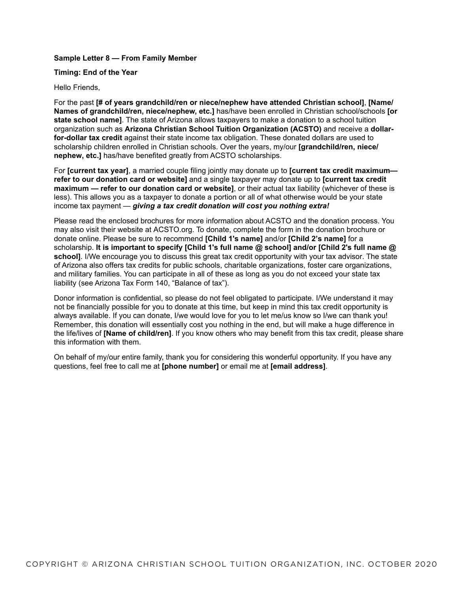# **Sample Letter 8 — From Family Member**

### **Timing: End of the Year**

#### Hello Friends,

For the past **[# of years grandchild/ren or niece/nephew have attended Christian school]**, **[Name/ Names of grandchild/ren, niece/nephew, etc.]** has/have been enrolled in Christian school/schools **[or state school name]**. The state of Arizona allows taxpayers to make a donation to a school tuition organization such as **Arizona Christian School Tuition Organization (ACSTO)** and receive a **dollarfor-dollar tax credit** against their state income tax obligation. These donated dollars are used to scholarship children enrolled in Christian schools. Over the years, my/our **[grandchild/ren, niece/ nephew, etc.]** has/have benefited greatly from ACSTO scholarships.

For **[current tax year]**, a married couple filing jointly may donate up to **[current tax credit maximum refer to our donation card or website]** and a single taxpayer may donate up to **[current tax credit maximum — refer to our donation card or website]**, or their actual tax liability (whichever of these is less). This allows you as a taxpayer to donate a portion or all of what otherwise would be your state income tax payment — *giving a tax credit donation will cost you nothing extra!*

Please read the enclosed brochures for more information about ACSTO and the donation process. You may also visit their website at ACSTO.org. To donate, complete the form in the donation brochure or donate online. Please be sure to recommend **[Child 1's name]** and/or **[Child 2's name]** for a scholarship. **It is important to specify [Child 1's full name @ school] and/or [Child 2's full name @**  school]. I/We encourage you to discuss this great tax credit opportunity with your tax advisor. The state of Arizona also offers tax credits for public schools, charitable organizations, foster care organizations, and military families. You can participate in all of these as long as you do not exceed your state tax liability (see Arizona Tax Form 140, "Balance of tax").

Donor information is confidential, so please do not feel obligated to participate. I/We understand it may not be financially possible for you to donate at this time, but keep in mind this tax credit opportunity is always available. If you can donate, I/we would love for you to let me/us know so I/we can thank you! Remember, this donation will essentially cost you nothing in the end, but will make a huge difference in the life/lives of **[Name of child/ren]**. If you know others who may benefit from this tax credit, please share this information with them.

On behalf of my/our entire family, thank you for considering this wonderful opportunity. If you have any questions, feel free to call me at **[phone number]** or email me at **[email address]**.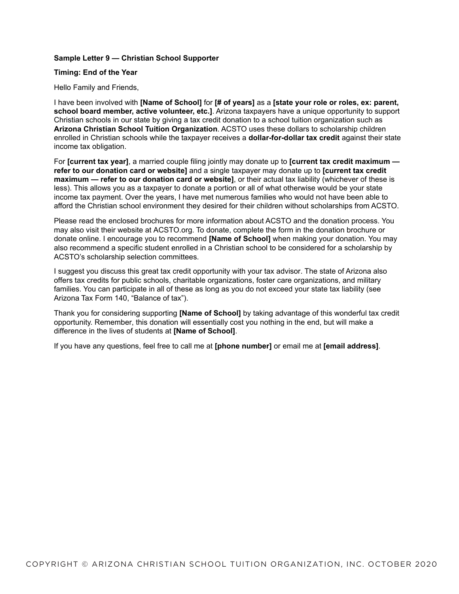# **Sample Letter 9 — Christian School Supporter**

#### **Timing: End of the Year**

Hello Family and Friends,

I have been involved with **[Name of School]** for **[# of years]** as a **[state your role or roles, ex: parent, school board member, active volunteer, etc.]**. Arizona taxpayers have a unique opportunity to support Christian schools in our state by giving a tax credit donation to a school tuition organization such as **Arizona Christian School Tuition Organization**. ACSTO uses these dollars to scholarship children enrolled in Christian schools while the taxpayer receives a **dollar-for-dollar tax credit** against their state income tax obligation.

For **[current tax year]**, a married couple filing jointly may donate up to **[current tax credit maximum refer to our donation card or website]** and a single taxpayer may donate up to **[current tax credit maximum — refer to our donation card or website]**, or their actual tax liability (whichever of these is less). This allows you as a taxpayer to donate a portion or all of what otherwise would be your state income tax payment. Over the years, I have met numerous families who would not have been able to afford the Christian school environment they desired for their children without scholarships from ACSTO.

Please read the enclosed brochures for more information about ACSTO and the donation process. You may also visit their website at ACSTO.org. To donate, complete the form in the donation brochure or donate online. I encourage you to recommend **[Name of School]** when making your donation. You may also recommend a specific student enrolled in a Christian school to be considered for a scholarship by ACSTO's scholarship selection committees.

I suggest you discuss this great tax credit opportunity with your tax advisor. The state of Arizona also offers tax credits for public schools, charitable organizations, foster care organizations, and military families. You can participate in all of these as long as you do not exceed your state tax liability (see Arizona Tax Form 140, "Balance of tax").

Thank you for considering supporting **[Name of School]** by taking advantage of this wonderful tax credit opportunity. Remember, this donation will essentially cost you nothing in the end, but will make a difference in the lives of students at **[Name of School]**.

If you have any questions, feel free to call me at **[phone number]** or email me at **[email address]**.